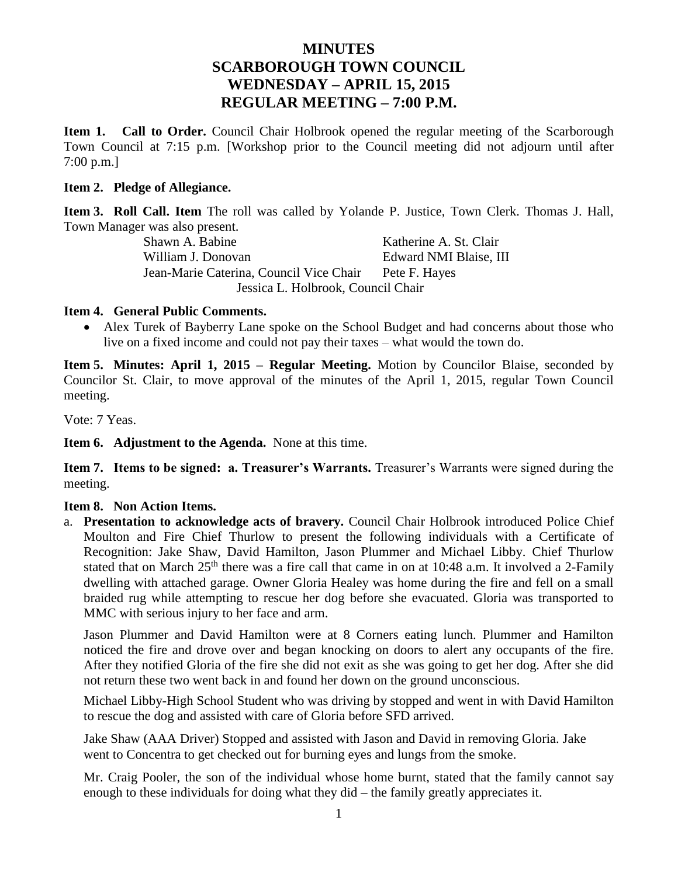# **MINUTES SCARBOROUGH TOWN COUNCIL WEDNESDAY – APRIL 15, 2015 REGULAR MEETING – 7:00 P.M.**

**Item 1. Call to Order.** Council Chair Holbrook opened the regular meeting of the Scarborough Town Council at 7:15 p.m. [Workshop prior to the Council meeting did not adjourn until after 7:00 p.m.]

#### **Item 2. Pledge of Allegiance.**

**Item 3. Roll Call. Item** The roll was called by Yolande P. Justice, Town Clerk. Thomas J. Hall, Town Manager was also present.

Shawn A. Babine Katherine A. St. Clair William J. Donovan Edward NMI Blaise. III Jean-Marie Caterina, Council Vice Chair Pete F. Hayes Jessica L. Holbrook, Council Chair

#### **Item 4. General Public Comments.**

 Alex Turek of Bayberry Lane spoke on the School Budget and had concerns about those who live on a fixed income and could not pay their taxes – what would the town do.

**Item 5. Minutes: April 1, 2015 – Regular Meeting.** Motion by Councilor Blaise, seconded by Councilor St. Clair, to move approval of the minutes of the April 1, 2015, regular Town Council meeting.

Vote: 7 Yeas.

**Item 6. Adjustment to the Agenda.** None at this time.

**Item 7. Items to be signed: a. Treasurer's Warrants.** Treasurer's Warrants were signed during the meeting.

#### **Item 8. Non Action Items.**

a. **Presentation to acknowledge acts of bravery.** Council Chair Holbrook introduced Police Chief Moulton and Fire Chief Thurlow to present the following individuals with a Certificate of Recognition: Jake Shaw, David Hamilton, Jason Plummer and Michael Libby. Chief Thurlow stated that on March 25<sup>th</sup> there was a fire call that came in on at 10:48 a.m. It involved a 2-Family dwelling with attached garage. Owner Gloria Healey was home during the fire and fell on a small braided rug while attempting to rescue her dog before she evacuated. Gloria was transported to MMC with serious injury to her face and arm.

Jason Plummer and David Hamilton were at 8 Corners eating lunch. Plummer and Hamilton noticed the fire and drove over and began knocking on doors to alert any occupants of the fire. After they notified Gloria of the fire she did not exit as she was going to get her dog. After she did not return these two went back in and found her down on the ground unconscious.

Michael Libby-High School Student who was driving by stopped and went in with David Hamilton to rescue the dog and assisted with care of Gloria before SFD arrived.

Jake Shaw (AAA Driver) Stopped and assisted with Jason and David in removing Gloria. Jake went to Concentra to get checked out for burning eyes and lungs from the smoke.

Mr. Craig Pooler, the son of the individual whose home burnt, stated that the family cannot say enough to these individuals for doing what they did – the family greatly appreciates it.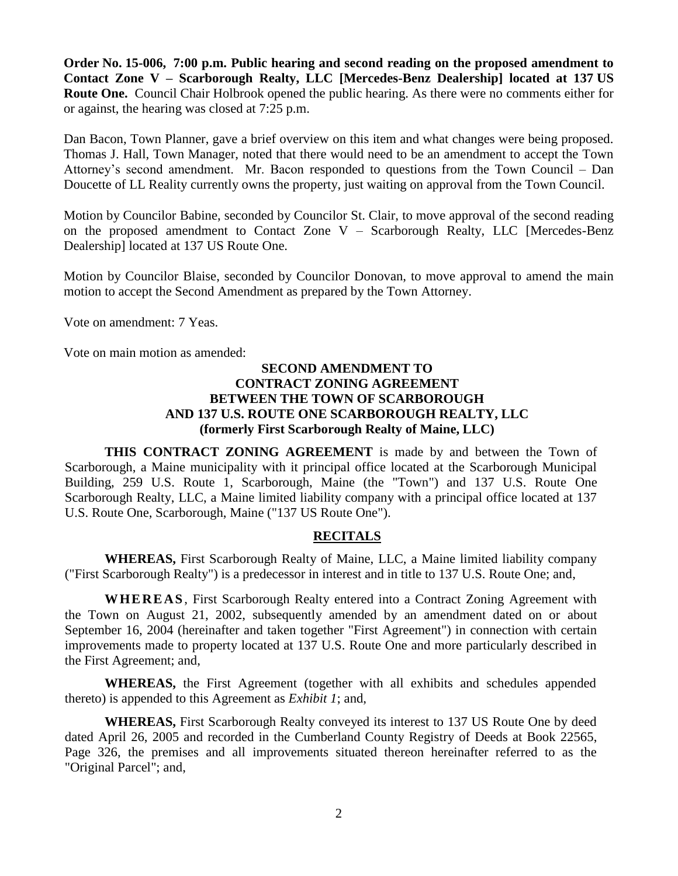**Order No. 15-006, 7:00 p.m. Public hearing and second reading on the proposed amendment to Contact Zone V – Scarborough Realty, LLC [Mercedes-Benz Dealership] located at 137 US Route One.** Council Chair Holbrook opened the public hearing. As there were no comments either for or against, the hearing was closed at 7:25 p.m.

Dan Bacon, Town Planner, gave a brief overview on this item and what changes were being proposed. Thomas J. Hall, Town Manager, noted that there would need to be an amendment to accept the Town Attorney's second amendment. Mr. Bacon responded to questions from the Town Council – Dan Doucette of LL Reality currently owns the property, just waiting on approval from the Town Council.

Motion by Councilor Babine, seconded by Councilor St. Clair, to move approval of the second reading on the proposed amendment to Contact Zone V – Scarborough Realty, LLC [Mercedes-Benz Dealership] located at 137 US Route One.

Motion by Councilor Blaise, seconded by Councilor Donovan, to move approval to amend the main motion to accept the Second Amendment as prepared by the Town Attorney.

Vote on amendment: 7 Yeas.

Vote on main motion as amended:

### **SECOND AMENDMENT TO CONTRACT ZONING AGREEMENT BETWEEN THE TOWN OF SCARBOROUGH AND 137 U.S. ROUTE ONE SCARBOROUGH REALTY, LLC (formerly First Scarborough Realty of Maine, LLC)**

**THIS CONTRACT ZONING AGREEMENT** is made by and between the Town of Scarborough, a Maine municipality with it principal office located at the Scarborough Municipal Building, 259 U.S. Route 1, Scarborough, Maine (the "Town") and 137 U.S. Route One Scarborough Realty, LLC, a Maine limited liability company with a principal office located at 137 U.S. Route One, Scarborough, Maine ("137 US Route One").

#### **RECITALS**

**WHEREAS,** First Scarborough Realty of Maine, LLC, a Maine limited liability company ("First Scarborough Realty") is a predecessor in interest and in title to 137 U.S. Route One; and,

**W HE RE AS** , First Scarborough Realty entered into a Contract Zoning Agreement with the Town on August 21, 2002, subsequently amended by an amendment dated on or about September 16, 2004 (hereinafter and taken together "First Agreement") in connection with certain improvements made to property located at 137 U.S. Route One and more particularly described in the First Agreement; and,

**WHEREAS,** the First Agreement (together with all exhibits and schedules appended thereto) is appended to this Agreement as *Exhibit 1*; and,

**WHEREAS,** First Scarborough Realty conveyed its interest to 137 US Route One by deed dated April 26, 2005 and recorded in the Cumberland County Registry of Deeds at Book 22565, Page 326, the premises and all improvements situated thereon hereinafter referred to as the "Original Parcel"; and,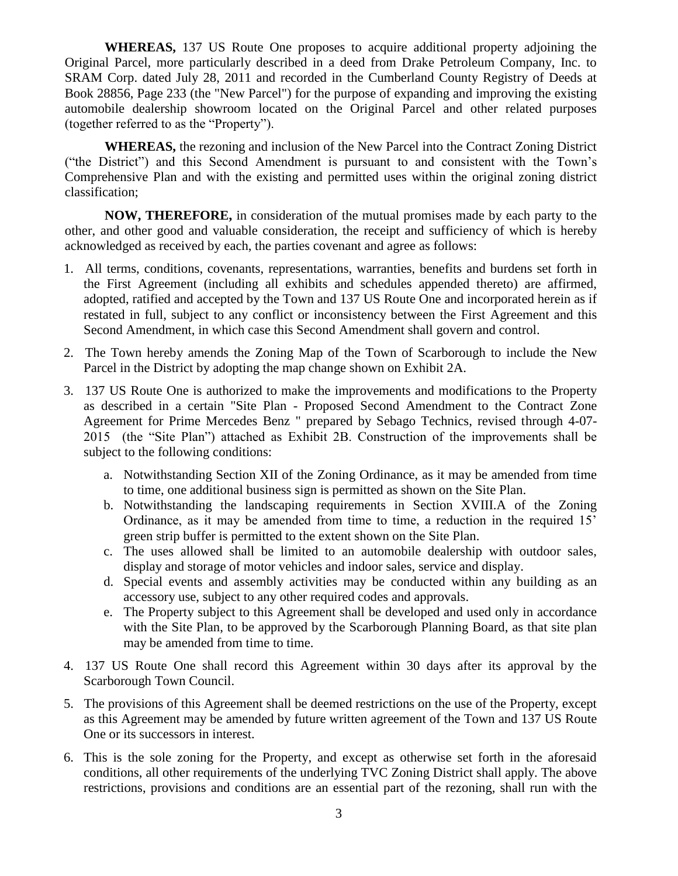**WHEREAS,** 137 US Route One proposes to acquire additional property adjoining the Original Parcel, more particularly described in a deed from Drake Petroleum Company, Inc. to SRAM Corp. dated July 28, 2011 and recorded in the Cumberland County Registry of Deeds at Book 28856, Page 233 (the "New Parcel") for the purpose of expanding and improving the existing automobile dealership showroom located on the Original Parcel and other related purposes (together referred to as the "Property").

**WHEREAS,** the rezoning and inclusion of the New Parcel into the Contract Zoning District ("the District") and this Second Amendment is pursuant to and consistent with the Town's Comprehensive Plan and with the existing and permitted uses within the original zoning district classification;

**NOW, THEREFORE,** in consideration of the mutual promises made by each party to the other, and other good and valuable consideration, the receipt and sufficiency of which is hereby acknowledged as received by each, the parties covenant and agree as follows:

- 1. All terms, conditions, covenants, representations, warranties, benefits and burdens set forth in the First Agreement (including all exhibits and schedules appended thereto) are affirmed, adopted, ratified and accepted by the Town and 137 US Route One and incorporated herein as if restated in full, subject to any conflict or inconsistency between the First Agreement and this Second Amendment, in which case this Second Amendment shall govern and control.
- 2. The Town hereby amends the Zoning Map of the Town of Scarborough to include the New Parcel in the District by adopting the map change shown on Exhibit 2A.
- 3. 137 US Route One is authorized to make the improvements and modifications to the Property as described in a certain "Site Plan - Proposed Second Amendment to the Contract Zone Agreement for Prime Mercedes Benz " prepared by Sebago Technics, revised through 4-07- 2015 (the "Site Plan") attached as Exhibit 2B. Construction of the improvements shall be subject to the following conditions:
	- a. Notwithstanding Section XII of the Zoning Ordinance, as it may be amended from time to time, one additional business sign is permitted as shown on the Site Plan.
	- b. Notwithstanding the landscaping requirements in Section XVIII.A of the Zoning Ordinance, as it may be amended from time to time, a reduction in the required 15' green strip buffer is permitted to the extent shown on the Site Plan.
	- c. The uses allowed shall be limited to an automobile dealership with outdoor sales, display and storage of motor vehicles and indoor sales, service and display.
	- d. Special events and assembly activities may be conducted within any building as an accessory use, subject to any other required codes and approvals.
	- e. The Property subject to this Agreement shall be developed and used only in accordance with the Site Plan, to be approved by the Scarborough Planning Board, as that site plan may be amended from time to time.
- 4. 137 US Route One shall record this Agreement within 30 days after its approval by the Scarborough Town Council.
- 5. The provisions of this Agreement shall be deemed restrictions on the use of the Property, except as this Agreement may be amended by future written agreement of the Town and 137 US Route One or its successors in interest.
- 6. This is the sole zoning for the Property, and except as otherwise set forth in the aforesaid conditions, all other requirements of the underlying TVC Zoning District shall apply. The above restrictions, provisions and conditions are an essential part of the rezoning, shall run with the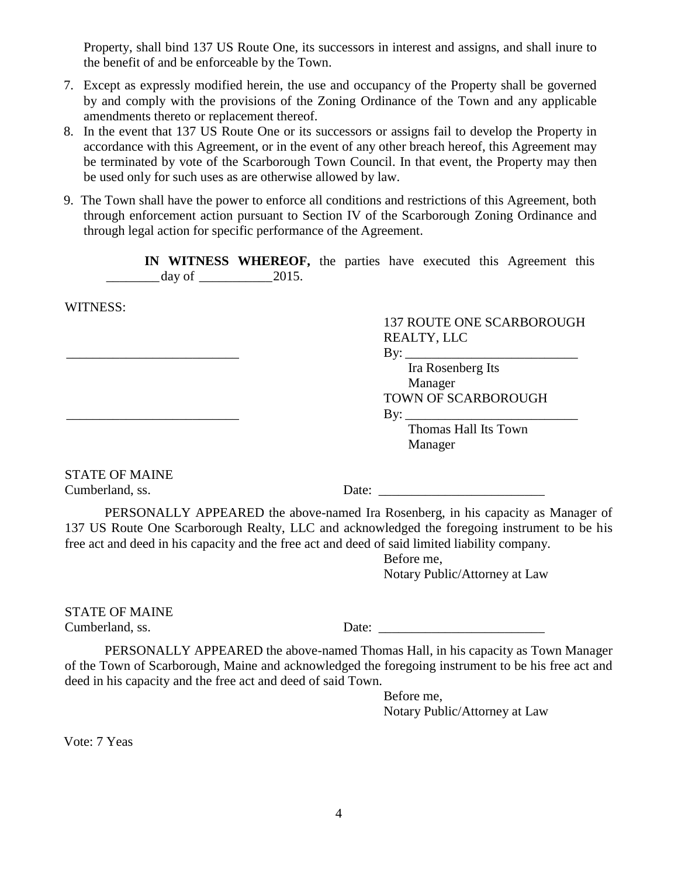Property, shall bind 137 US Route One, its successors in interest and assigns, and shall inure to the benefit of and be enforceable by the Town.

- 7. Except as expressly modified herein, the use and occupancy of the Property shall be governed by and comply with the provisions of the Zoning Ordinance of the Town and any applicable amendments thereto or replacement thereof.
- 8. In the event that 137 US Route One or its successors or assigns fail to develop the Property in accordance with this Agreement, or in the event of any other breach hereof, this Agreement may be terminated by vote of the Scarborough Town Council. In that event, the Property may then be used only for such uses as are otherwise allowed by law.
- 9. The Town shall have the power to enforce all conditions and restrictions of this Agreement, both through enforcement action pursuant to Section IV of the Scarborough Zoning Ordinance and through legal action for specific performance of the Agreement.

**IN WITNESS WHEREOF,** the parties have executed this Agreement this  $day of$  2015.

WITNESS:

## 137 ROUTE ONE SCARBOROUGH REALTY, LLC

 $\operatorname{By:}$ 

Ira Rosenberg Its Manager TOWN OF SCARBOROUGH  $\exists y$ :

> Thomas Hall Its Town Manager

STATE OF MAINE Cumberland, ss. Date:

PERSONALLY APPEARED the above-named Ira Rosenberg, in his capacity as Manager of 137 US Route One Scarborough Realty, LLC and acknowledged the foregoing instrument to be his free act and deed in his capacity and the free act and deed of said limited liability company.

> Before me, Notary Public/Attorney at Law

STATE OF MAINE

Cumberland, ss. Date:

PERSONALLY APPEARED the above-named Thomas Hall, in his capacity as Town Manager of the Town of Scarborough, Maine and acknowledged the foregoing instrument to be his free act and deed in his capacity and the free act and deed of said Town.

> Before me, Notary Public/Attorney at Law

Vote: 7 Yeas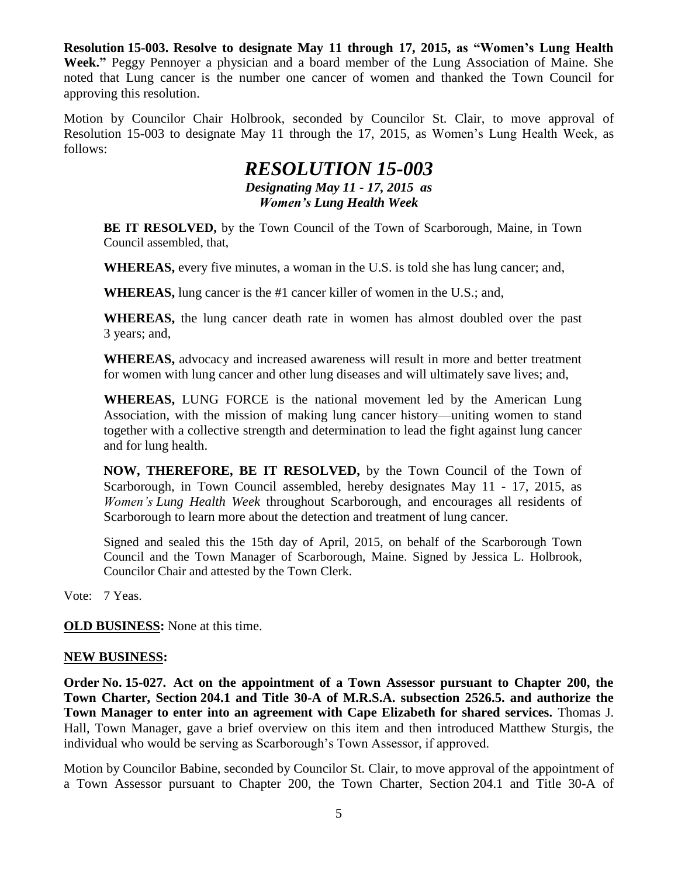**Resolution 15-003. Resolve to designate May 11 through 17, 2015, as "Women's Lung Health Week."** Peggy Pennoyer a physician and a board member of the Lung Association of Maine. She noted that Lung cancer is the number one cancer of women and thanked the Town Council for approving this resolution.

Motion by Councilor Chair Holbrook, seconded by Councilor St. Clair, to move approval of Resolution 15-003 to designate May 11 through the 17, 2015, as Women's Lung Health Week, as follows:

# *RESOLUTION 15-003 Designating May 11 - 17, 2015 as Women's Lung Health Week*

**BE IT RESOLVED,** by the Town Council of the Town of Scarborough, Maine, in Town Council assembled, that,

**WHEREAS,** every five minutes, a woman in the U.S. is told she has lung cancer; and,

**WHEREAS,** lung cancer is the #1 cancer killer of women in the U.S.; and,

**WHEREAS,** the lung cancer death rate in women has almost doubled over the past 3 years; and,

**WHEREAS,** advocacy and increased awareness will result in more and better treatment for women with lung cancer and other lung diseases and will ultimately save lives; and,

**WHEREAS,** LUNG FORCE is the national movement led by the American Lung Association, with the mission of making lung cancer history—uniting women to stand together with a collective strength and determination to lead the fight against lung cancer and for lung health.

**NOW, THEREFORE, BE IT RESOLVED,** by the Town Council of the Town of Scarborough, in Town Council assembled, hereby designates May 11 - 17, 2015, as *Women's Lung Health Week* throughout Scarborough, and encourages all residents of Scarborough to learn more about the detection and treatment of lung cancer.

Signed and sealed this the 15th day of April, 2015, on behalf of the Scarborough Town Council and the Town Manager of Scarborough, Maine. Signed by Jessica L. Holbrook, Councilor Chair and attested by the Town Clerk.

Vote: 7 Yeas.

**OLD BUSINESS:** None at this time.

#### **NEW BUSINESS:**

**Order No. 15-027. Act on the appointment of a Town Assessor pursuant to Chapter 200, the Town Charter, Section 204.1 and Title 30-A of M.R.S.A. subsection 2526.5. and authorize the Town Manager to enter into an agreement with Cape Elizabeth for shared services.** Thomas J. Hall, Town Manager, gave a brief overview on this item and then introduced Matthew Sturgis, the individual who would be serving as Scarborough's Town Assessor, if approved.

Motion by Councilor Babine, seconded by Councilor St. Clair, to move approval of the appointment of a Town Assessor pursuant to Chapter 200, the Town Charter, Section 204.1 and Title 30-A of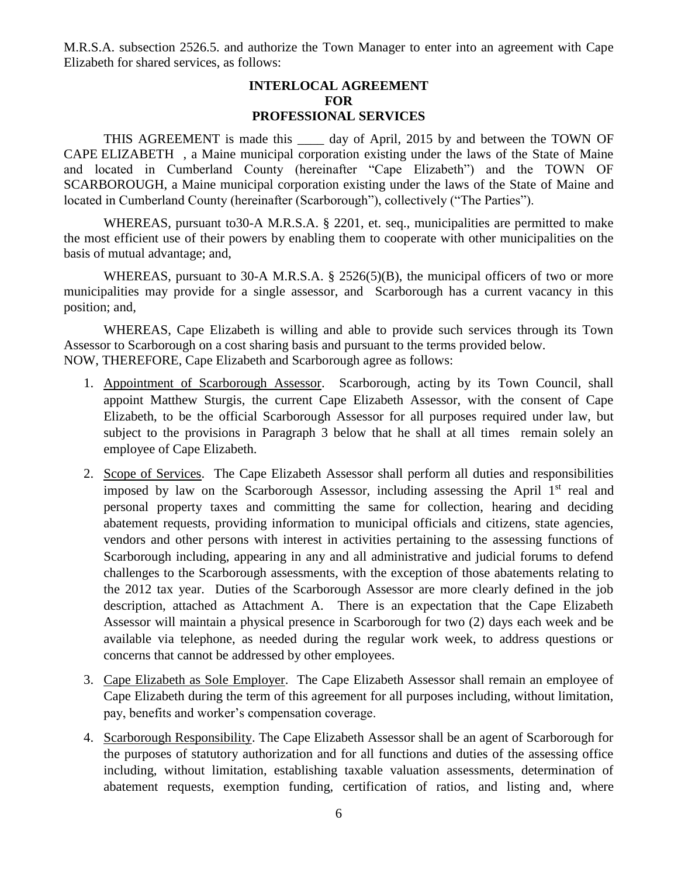M.R.S.A. subsection 2526.5. and authorize the Town Manager to enter into an agreement with Cape Elizabeth for shared services, as follows:

#### **INTERLOCAL AGREEMENT FOR PROFESSIONAL SERVICES**

THIS AGREEMENT is made this day of April, 2015 by and between the TOWN OF CAPE ELIZABETH , a Maine municipal corporation existing under the laws of the State of Maine and located in Cumberland County (hereinafter "Cape Elizabeth") and the TOWN OF SCARBOROUGH, a Maine municipal corporation existing under the laws of the State of Maine and located in Cumberland County (hereinafter (Scarborough"), collectively ("The Parties").

WHEREAS, pursuant to 30-A M.R.S.A. § 2201, et. seq., municipalities are permitted to make the most efficient use of their powers by enabling them to cooperate with other municipalities on the basis of mutual advantage; and,

WHEREAS, pursuant to 30-A M.R.S.A. § 2526(5)(B), the municipal officers of two or more municipalities may provide for a single assessor, and Scarborough has a current vacancy in this position; and,

WHEREAS, Cape Elizabeth is willing and able to provide such services through its Town Assessor to Scarborough on a cost sharing basis and pursuant to the terms provided below. NOW, THEREFORE, Cape Elizabeth and Scarborough agree as follows:

- 1. Appointment of Scarborough Assessor. Scarborough, acting by its Town Council, shall appoint Matthew Sturgis, the current Cape Elizabeth Assessor, with the consent of Cape Elizabeth, to be the official Scarborough Assessor for all purposes required under law, but subject to the provisions in Paragraph 3 below that he shall at all times remain solely an employee of Cape Elizabeth.
- 2. Scope of Services. The Cape Elizabeth Assessor shall perform all duties and responsibilities imposed by law on the Scarborough Assessor, including assessing the April  $1<sup>st</sup>$  real and personal property taxes and committing the same for collection, hearing and deciding abatement requests, providing information to municipal officials and citizens, state agencies, vendors and other persons with interest in activities pertaining to the assessing functions of Scarborough including, appearing in any and all administrative and judicial forums to defend challenges to the Scarborough assessments, with the exception of those abatements relating to the 2012 tax year. Duties of the Scarborough Assessor are more clearly defined in the job description, attached as Attachment A. There is an expectation that the Cape Elizabeth Assessor will maintain a physical presence in Scarborough for two (2) days each week and be available via telephone, as needed during the regular work week, to address questions or concerns that cannot be addressed by other employees.
- 3. Cape Elizabeth as Sole Employer. The Cape Elizabeth Assessor shall remain an employee of Cape Elizabeth during the term of this agreement for all purposes including, without limitation, pay, benefits and worker's compensation coverage.
- 4. Scarborough Responsibility. The Cape Elizabeth Assessor shall be an agent of Scarborough for the purposes of statutory authorization and for all functions and duties of the assessing office including, without limitation, establishing taxable valuation assessments, determination of abatement requests, exemption funding, certification of ratios, and listing and, where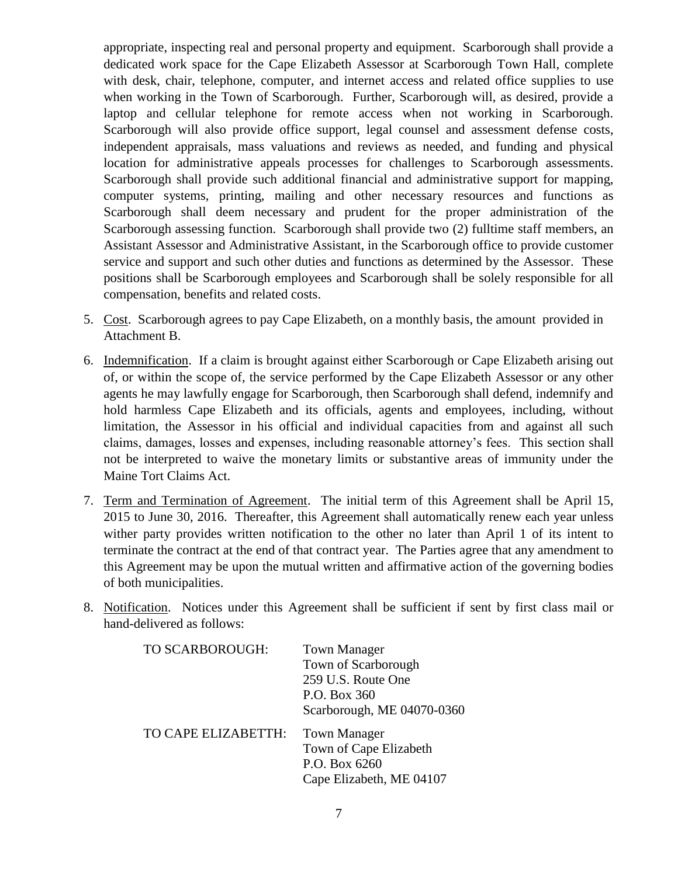appropriate, inspecting real and personal property and equipment. Scarborough shall provide a dedicated work space for the Cape Elizabeth Assessor at Scarborough Town Hall, complete with desk, chair, telephone, computer, and internet access and related office supplies to use when working in the Town of Scarborough. Further, Scarborough will, as desired, provide a laptop and cellular telephone for remote access when not working in Scarborough. Scarborough will also provide office support, legal counsel and assessment defense costs, independent appraisals, mass valuations and reviews as needed, and funding and physical location for administrative appeals processes for challenges to Scarborough assessments. Scarborough shall provide such additional financial and administrative support for mapping, computer systems, printing, mailing and other necessary resources and functions as Scarborough shall deem necessary and prudent for the proper administration of the Scarborough assessing function. Scarborough shall provide two (2) fulltime staff members, an Assistant Assessor and Administrative Assistant, in the Scarborough office to provide customer service and support and such other duties and functions as determined by the Assessor. These positions shall be Scarborough employees and Scarborough shall be solely responsible for all compensation, benefits and related costs.

- 5. Cost. Scarborough agrees to pay Cape Elizabeth, on a monthly basis, the amount provided in Attachment B.
- 6. Indemnification. If a claim is brought against either Scarborough or Cape Elizabeth arising out of, or within the scope of, the service performed by the Cape Elizabeth Assessor or any other agents he may lawfully engage for Scarborough, then Scarborough shall defend, indemnify and hold harmless Cape Elizabeth and its officials, agents and employees, including, without limitation, the Assessor in his official and individual capacities from and against all such claims, damages, losses and expenses, including reasonable attorney's fees. This section shall not be interpreted to waive the monetary limits or substantive areas of immunity under the Maine Tort Claims Act.
- 7. Term and Termination of Agreement. The initial term of this Agreement shall be April 15, 2015 to June 30, 2016. Thereafter, this Agreement shall automatically renew each year unless wither party provides written notification to the other no later than April 1 of its intent to terminate the contract at the end of that contract year. The Parties agree that any amendment to this Agreement may be upon the mutual written and affirmative action of the governing bodies of both municipalities.
- 8. Notification. Notices under this Agreement shall be sufficient if sent by first class mail or hand-delivered as follows:

| TO SCARBOROUGH:     | <b>Town Manager</b><br>Town of Scarborough<br>259 U.S. Route One<br>P.O. Box 360<br>Scarborough, ME 04070-0360 |
|---------------------|----------------------------------------------------------------------------------------------------------------|
| TO CAPE ELIZABETTH: | <b>Town Manager</b><br>Town of Cape Elizabeth<br>P.O. Box 6260<br>Cape Elizabeth, ME 04107                     |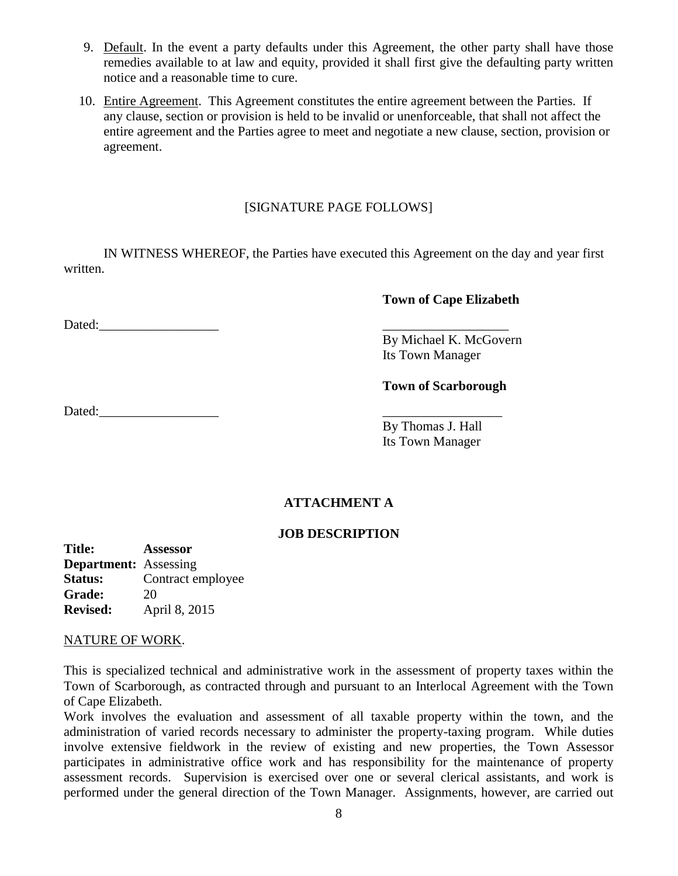- 9. Default. In the event a party defaults under this Agreement, the other party shall have those remedies available to at law and equity, provided it shall first give the defaulting party written notice and a reasonable time to cure.
- 10. Entire Agreement. This Agreement constitutes the entire agreement between the Parties. If any clause, section or provision is held to be invalid or unenforceable, that shall not affect the entire agreement and the Parties agree to meet and negotiate a new clause, section, provision or agreement.

### [SIGNATURE PAGE FOLLOWS]

IN WITNESS WHEREOF, the Parties have executed this Agreement on the day and year first written.

### **Town of Cape Elizabeth**

Dated:\_\_\_\_\_\_\_\_\_\_\_\_\_\_\_\_\_\_ \_\_\_\_\_\_\_\_\_\_\_\_\_\_\_\_\_\_\_

By Michael K. McGovern Its Town Manager

## **Town of Scarborough**

Dated:\_\_\_\_\_\_\_\_\_\_\_\_\_\_\_\_\_\_ \_\_\_\_\_\_\_\_\_\_\_\_\_\_\_\_\_\_

By Thomas J. Hall Its Town Manager

## **ATTACHMENT A**

#### **JOB DESCRIPTION**

**Title: Assessor Department:** Assessing **Status:** Contract employee **Grade:** 20 **Revised:** April 8, 2015

#### NATURE OF WORK.

This is specialized technical and administrative work in the assessment of property taxes within the Town of Scarborough, as contracted through and pursuant to an Interlocal Agreement with the Town of Cape Elizabeth.

Work involves the evaluation and assessment of all taxable property within the town, and the administration of varied records necessary to administer the property-taxing program. While duties involve extensive fieldwork in the review of existing and new properties, the Town Assessor participates in administrative office work and has responsibility for the maintenance of property assessment records. Supervision is exercised over one or several clerical assistants, and work is performed under the general direction of the Town Manager. Assignments, however, are carried out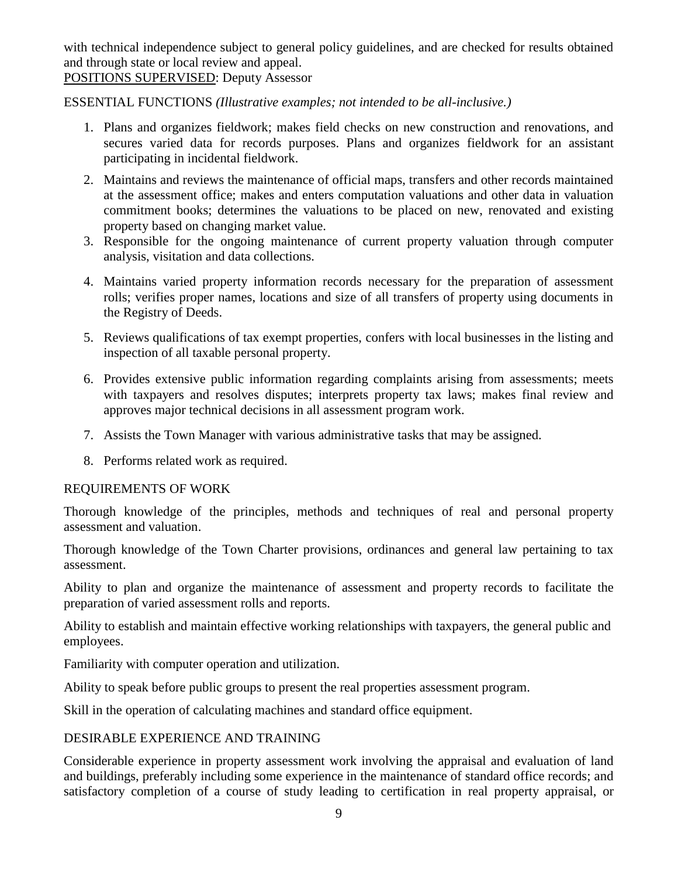with technical independence subject to general policy guidelines, and are checked for results obtained and through state or local review and appeal.

## POSITIONS SUPERVISED: Deputy Assessor

ESSENTIAL FUNCTIONS *(Illustrative examples; not intended to be all-inclusive.)*

- 1. Plans and organizes fieldwork; makes field checks on new construction and renovations, and secures varied data for records purposes. Plans and organizes fieldwork for an assistant participating in incidental fieldwork.
- 2. Maintains and reviews the maintenance of official maps, transfers and other records maintained at the assessment office; makes and enters computation valuations and other data in valuation commitment books; determines the valuations to be placed on new, renovated and existing property based on changing market value.
- 3. Responsible for the ongoing maintenance of current property valuation through computer analysis, visitation and data collections.
- 4. Maintains varied property information records necessary for the preparation of assessment rolls; verifies proper names, locations and size of all transfers of property using documents in the Registry of Deeds.
- 5. Reviews qualifications of tax exempt properties, confers with local businesses in the listing and inspection of all taxable personal property.
- 6. Provides extensive public information regarding complaints arising from assessments; meets with taxpayers and resolves disputes; interprets property tax laws; makes final review and approves major technical decisions in all assessment program work.
- 7. Assists the Town Manager with various administrative tasks that may be assigned.
- 8. Performs related work as required.

## REQUIREMENTS OF WORK

Thorough knowledge of the principles, methods and techniques of real and personal property assessment and valuation.

Thorough knowledge of the Town Charter provisions, ordinances and general law pertaining to tax assessment.

Ability to plan and organize the maintenance of assessment and property records to facilitate the preparation of varied assessment rolls and reports.

Ability to establish and maintain effective working relationships with taxpayers, the general public and employees.

Familiarity with computer operation and utilization.

Ability to speak before public groups to present the real properties assessment program.

Skill in the operation of calculating machines and standard office equipment.

## DESIRABLE EXPERIENCE AND TRAINING

Considerable experience in property assessment work involving the appraisal and evaluation of land and buildings, preferably including some experience in the maintenance of standard office records; and satisfactory completion of a course of study leading to certification in real property appraisal, or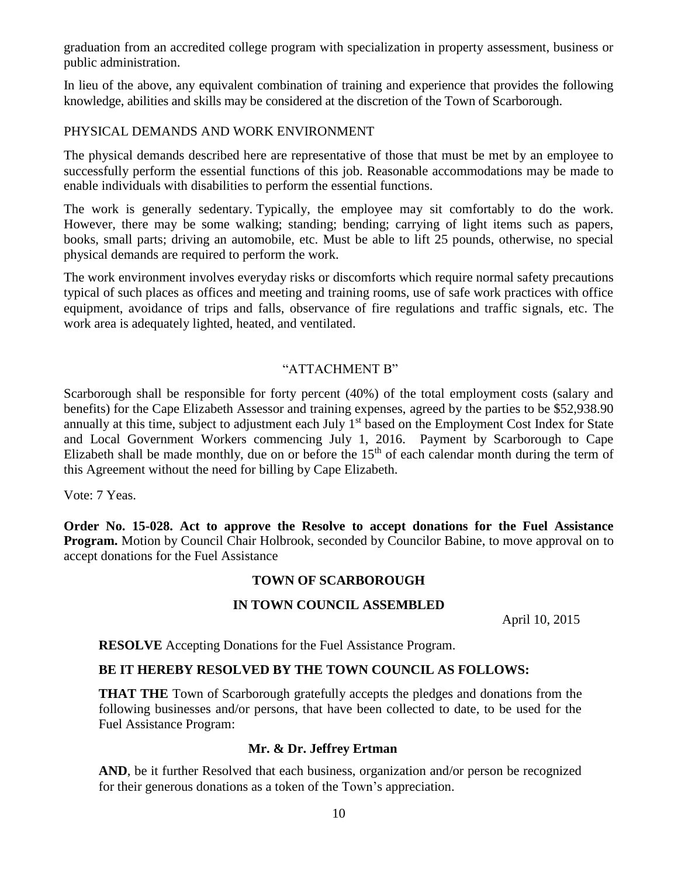graduation from an accredited college program with specialization in property assessment, business or public administration.

In lieu of the above, any equivalent combination of training and experience that provides the following knowledge, abilities and skills may be considered at the discretion of the Town of Scarborough.

## PHYSICAL DEMANDS AND WORK ENVIRONMENT

The physical demands described here are representative of those that must be met by an employee to successfully perform the essential functions of this job. Reasonable accommodations may be made to enable individuals with disabilities to perform the essential functions.

The work is generally sedentary. Typically, the employee may sit comfortably to do the work. However, there may be some walking; standing; bending; carrying of light items such as papers, books, small parts; driving an automobile, etc. Must be able to lift 25 pounds, otherwise, no special physical demands are required to perform the work.

The work environment involves everyday risks or discomforts which require normal safety precautions typical of such places as offices and meeting and training rooms, use of safe work practices with office equipment, avoidance of trips and falls, observance of fire regulations and traffic signals, etc. The work area is adequately lighted, heated, and ventilated.

## "ATTACHMENT B"

Scarborough shall be responsible for forty percent (40%) of the total employment costs (salary and benefits) for the Cape Elizabeth Assessor and training expenses, agreed by the parties to be \$52,938.90 annually at this time, subject to adjustment each July 1<sup>st</sup> based on the Employment Cost Index for State and Local Government Workers commencing July 1, 2016. Payment by Scarborough to Cape Elizabeth shall be made monthly, due on or before the  $15<sup>th</sup>$  of each calendar month during the term of this Agreement without the need for billing by Cape Elizabeth.

Vote: 7 Yeas.

**Order No. 15-028. Act to approve the Resolve to accept donations for the Fuel Assistance Program.** Motion by Council Chair Holbrook, seconded by Councilor Babine, to move approval on to accept donations for the Fuel Assistance

## **TOWN OF SCARBOROUGH**

## **IN TOWN COUNCIL ASSEMBLED**

April 10, 2015

**RESOLVE** Accepting Donations for the Fuel Assistance Program.

#### **BE IT HEREBY RESOLVED BY THE TOWN COUNCIL AS FOLLOWS:**

**THAT THE** Town of Scarborough gratefully accepts the pledges and donations from the following businesses and/or persons, that have been collected to date, to be used for the Fuel Assistance Program:

#### **Mr. & Dr. Jeffrey Ertman**

**AND**, be it further Resolved that each business, organization and/or person be recognized for their generous donations as a token of the Town's appreciation.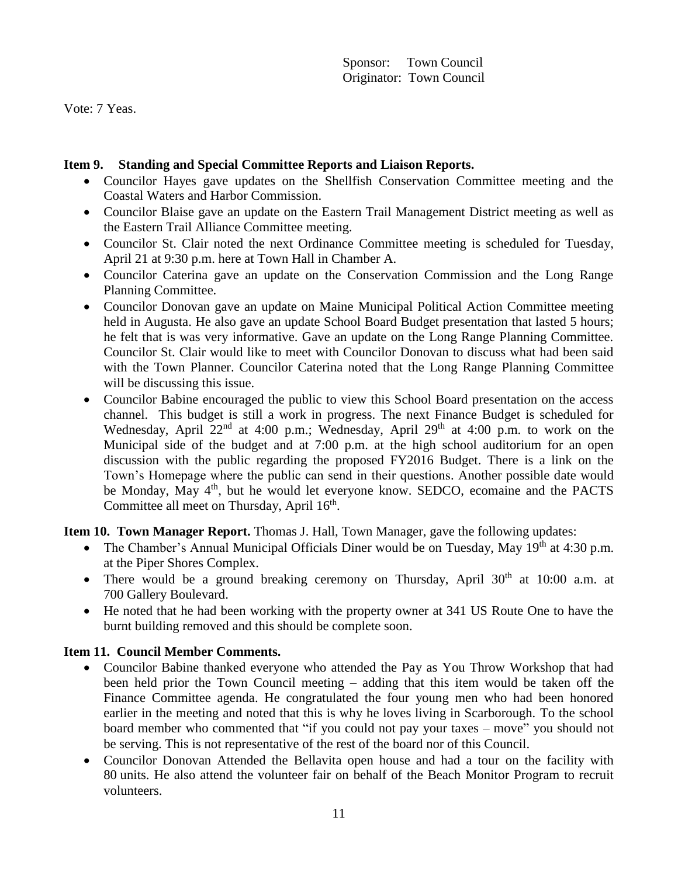Vote: 7 Yeas.

## **Item 9. Standing and Special Committee Reports and Liaison Reports.**

- Councilor Hayes gave updates on the Shellfish Conservation Committee meeting and the Coastal Waters and Harbor Commission.
- Councilor Blaise gave an update on the Eastern Trail Management District meeting as well as the Eastern Trail Alliance Committee meeting.
- Councilor St. Clair noted the next Ordinance Committee meeting is scheduled for Tuesday, April 21 at 9:30 p.m. here at Town Hall in Chamber A.
- Councilor Caterina gave an update on the Conservation Commission and the Long Range Planning Committee.
- Councilor Donovan gave an update on Maine Municipal Political Action Committee meeting held in Augusta. He also gave an update School Board Budget presentation that lasted 5 hours; he felt that is was very informative. Gave an update on the Long Range Planning Committee. Councilor St. Clair would like to meet with Councilor Donovan to discuss what had been said with the Town Planner. Councilor Caterina noted that the Long Range Planning Committee will be discussing this issue.
- Councilor Babine encouraged the public to view this School Board presentation on the access channel. This budget is still a work in progress. The next Finance Budget is scheduled for Wednesday, April  $22^{nd}$  at 4:00 p.m.; Wednesday, April  $29^{th}$  at 4:00 p.m. to work on the Municipal side of the budget and at 7:00 p.m. at the high school auditorium for an open discussion with the public regarding the proposed FY2016 Budget. There is a link on the Town's Homepage where the public can send in their questions. Another possible date would be Monday, May 4<sup>th</sup>, but he would let everyone know. SEDCO, ecomaine and the PACTS Committee all meet on Thursday, April 16<sup>th</sup>.

**Item 10. Town Manager Report.** Thomas J. Hall, Town Manager, gave the following updates:

- The Chamber's Annual Municipal Officials Diner would be on Tuesday, May  $19<sup>th</sup>$  at 4:30 p.m. at the Piper Shores Complex.
- There would be a ground breaking ceremony on Thursday, April  $30<sup>th</sup>$  at  $10:00$  a.m. at 700 Gallery Boulevard.
- He noted that he had been working with the property owner at 341 US Route One to have the burnt building removed and this should be complete soon.

## **Item 11. Council Member Comments.**

- Councilor Babine thanked everyone who attended the Pay as You Throw Workshop that had been held prior the Town Council meeting – adding that this item would be taken off the Finance Committee agenda. He congratulated the four young men who had been honored earlier in the meeting and noted that this is why he loves living in Scarborough. To the school board member who commented that "if you could not pay your taxes – move" you should not be serving. This is not representative of the rest of the board nor of this Council.
- Councilor Donovan Attended the Bellavita open house and had a tour on the facility with 80 units. He also attend the volunteer fair on behalf of the Beach Monitor Program to recruit volunteers.